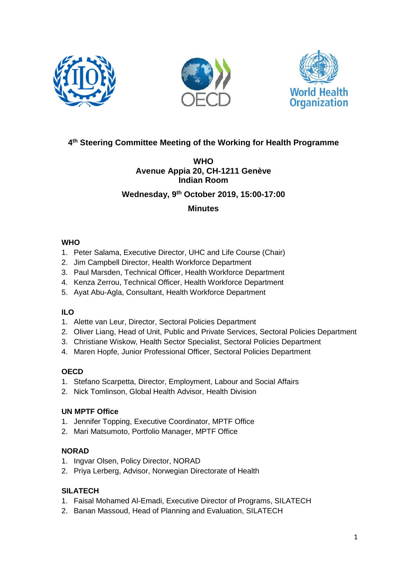





# **4 th Steering Committee Meeting of the Working for Health Programme**

## **WHO Avenue Appia 20, CH-1211 Genève Indian Room**

## **Wednesday, 9 th October 2019, 15:00-17:00**

### **Minutes**

## **WHO**

- 1. Peter Salama, Executive Director, UHC and Life Course (Chair)
- 2. Jim Campbell Director, Health Workforce Department
- 3. Paul Marsden, Technical Officer, Health Workforce Department
- 4. Kenza Zerrou, Technical Officer, Health Workforce Department
- 5. Ayat Abu-Agla, Consultant, Health Workforce Department

## **ILO**

- 1. Alette van Leur, Director, Sectoral Policies Department
- 2. Oliver Liang, Head of Unit, Public and Private Services, Sectoral Policies Department
- 3. Christiane Wiskow, Health Sector Specialist, Sectoral Policies Department
- 4. Maren Hopfe, Junior Professional Officer, Sectoral Policies Department

## **OECD**

- 1. Stefano Scarpetta, Director, Employment, Labour and Social Affairs
- 2. Nick Tomlinson, Global Health Advisor, Health Division

### **UN MPTF Office**

- 1. Jennifer Topping, Executive Coordinator, MPTF Office
- 2. Mari Matsumoto, Portfolio Manager, MPTF Office

## **NORAD**

- 1. Ingvar Olsen, Policy Director, NORAD
- 2. Priya Lerberg, Advisor, Norwegian Directorate of Health

## **SILATECH**

- 1. Faisal Mohamed Al-Emadi, Executive Director of Programs, SILATECH
- 2. Banan Massoud, Head of Planning and Evaluation, SILATECH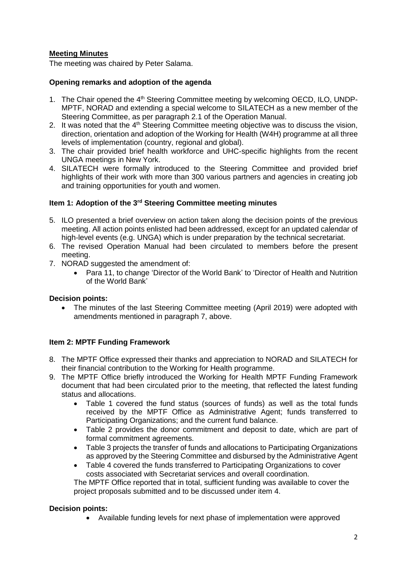### **Meeting Minutes**

The meeting was chaired by Peter Salama.

#### **Opening remarks and adoption of the agenda**

- 1. The Chair opened the 4<sup>th</sup> Steering Committee meeting by welcoming OECD, ILO, UNDP-MPTF, NORAD and extending a special welcome to SILATECH as a new member of the Steering Committee, as per paragraph 2.1 of the Operation Manual.
- 2. It was noted that the 4<sup>th</sup> Steering Committee meeting objective was to discuss the vision, direction, orientation and adoption of the Working for Health (W4H) programme at all three levels of implementation (country, regional and global).
- 3. The chair provided brief health workforce and UHC-specific highlights from the recent UNGA meetings in New York.
- 4. SILATECH were formally introduced to the Steering Committee and provided brief highlights of their work with more than 300 various partners and agencies in creating job and training opportunities for youth and women.

#### **Item 1: Adoption of the 3rd Steering Committee meeting minutes**

- 5. ILO presented a brief overview on action taken along the decision points of the previous meeting. All action points enlisted had been addressed, except for an updated calendar of high-level events (e.g. UNGA) which is under preparation by the technical secretariat.
- 6. The revised Operation Manual had been circulated to members before the present meeting.
- 7. NORAD suggested the amendment of:
	- Para 11, to change 'Director of the World Bank' to 'Director of Health and Nutrition of the World Bank'

#### **Decision points:**

• The minutes of the last Steering Committee meeting (April 2019) were adopted with amendments mentioned in paragraph 7, above.

#### **Item 2: MPTF Funding Framework**

- 8. The MPTF Office expressed their thanks and appreciation to NORAD and SILATECH for their financial contribution to the Working for Health programme.
- 9. The MPTF Office briefly introduced the Working for Health MPTF Funding Framework document that had been circulated prior to the meeting, that reflected the latest funding status and allocations.
	- Table 1 covered the fund status (sources of funds) as well as the total funds received by the MPTF Office as Administrative Agent; funds transferred to Participating Organizations; and the current fund balance.
	- Table 2 provides the donor commitment and deposit to date, which are part of formal commitment agreements.
	- Table 3 projects the transfer of funds and allocations to Participating Organizations as approved by the Steering Committee and disbursed by the Administrative Agent
	- Table 4 covered the funds transferred to Participating Organizations to cover costs associated with Secretariat services and overall coordination.

The MPTF Office reported that in total, sufficient funding was available to cover the project proposals submitted and to be discussed under item 4.

#### **Decision points:**

• Available funding levels for next phase of implementation were approved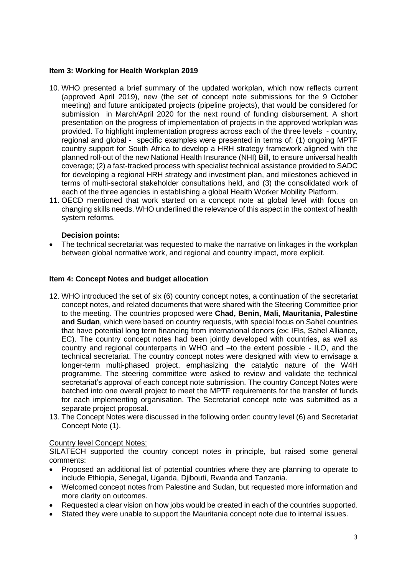#### **Item 3: Working for Health Workplan 2019**

- 10. WHO presented a brief summary of the updated workplan, which now reflects current (approved April 2019), new (the set of concept note submissions for the 9 October meeting) and future anticipated projects (pipeline projects), that would be considered for submission in March/April 2020 for the next round of funding disbursement. A short presentation on the progress of implementation of projects in the approved workplan was provided. To highlight implementation progress across each of the three levels - country, regional and global - specific examples were presented in terms of: (1) ongoing MPTF country support for South Africa to develop a HRH strategy framework aligned with the planned roll-out of the new National Health Insurance (NHI) Bill, to ensure universal health coverage; (2) a fast-tracked process with specialist technical assistance provided to SADC for developing a regional HRH strategy and investment plan, and milestones achieved in terms of multi-sectoral stakeholder consultations held, and (3) the consolidated work of each of the three agencies in establishing a global Health Worker Mobility Platform.
- 11. OECD mentioned that work started on a concept note at global level with focus on changing skills needs. WHO underlined the relevance of this aspect in the context of health system reforms.

### **Decision points:**

• The technical secretariat was requested to make the narrative on linkages in the workplan between global normative work, and regional and country impact, more explicit.

#### **Item 4: Concept Notes and budget allocation**

- 12. WHO introduced the set of six (6) country concept notes, a continuation of the secretariat concept notes, and related documents that were shared with the Steering Committee prior to the meeting. The countries proposed were **Chad, Benin, Mali, Mauritania, Palestine and Sudan**, which were based on country requests, with special focus on Sahel countries that have potential long term financing from international donors (ex: IFIs, Sahel Alliance, EC). The country concept notes had been jointly developed with countries, as well as country and regional counterparts in WHO and –to the extent possible - ILO, and the technical secretariat. The country concept notes were designed with view to envisage a longer-term multi-phased project, emphasizing the catalytic nature of the W4H programme. The steering committee were asked to review and validate the technical secretariat's approval of each concept note submission. The country Concept Notes were batched into one overall project to meet the MPTF requirements for the transfer of funds for each implementing organisation. The Secretariat concept note was submitted as a separate project proposal.
- 13. The Concept Notes were discussed in the following order: country level (6) and Secretariat Concept Note (1).

#### Country level Concept Notes:

SILATECH supported the country concept notes in principle, but raised some general comments:

- Proposed an additional list of potential countries where they are planning to operate to include Ethiopia, Senegal, Uganda, Djibouti, Rwanda and Tanzania.
- Welcomed concept notes from Palestine and Sudan, but requested more information and more clarity on outcomes.
- Requested a clear vision on how jobs would be created in each of the countries supported.
- Stated they were unable to support the Mauritania concept note due to internal issues.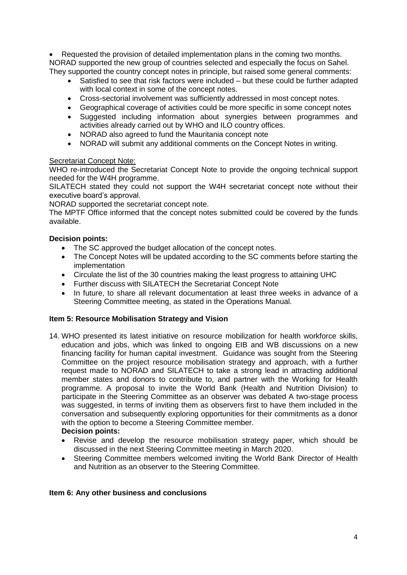Requested the provision of detailed implementation plans in the coming two months. NORAD supported the new group of countries selected and especially the focus on Sahel. They supported the country concept notes in principle, but raised some general comments:

- Satisfied to see that risk factors were included but these could be further adapted with local context in some of the concept notes.
- Cross-sectorial involvement was sufficiently addressed in most concept notes.
- Geographical coverage of activities could be more specific in some concept notes
- Suggested including information about synergies between programmes and activities already carried out by WHO and ILO country offices.
- NORAD also agreed to fund the Mauritania concept note
- NORAD will submit any additional comments on the Concept Notes in writing.

### Secretariat Concept Note:

WHO re-introduced the Secretariat Concept Note to provide the ongoing technical support needed for the W4H programme.

SILATECH stated they could not support the W4H secretariat concept note without their executive board's approval.

NORAD supported the secretariat concept note.

The MPTF Office informed that the concept notes submitted could be covered by the funds available.

### **Decision points:**

- The SC approved the budget allocation of the concept notes.
- The Concept Notes will be updated according to the SC comments before starting the implementation
- Circulate the list of the 30 countries making the least progress to attaining UHC
- Further discuss with SILATECH the Secretariat Concept Note
- In future, to share all relevant documentation at least three weeks in advance of a Steering Committee meeting, as stated in the Operations Manual.

#### **Item 5: Resource Mobilisation Strategy and Vision**

- 14. WHO presented its latest initiative on resource mobilization for health workforce skills, education and jobs, which was linked to ongoing EIB and WB discussions on a new financing facility for human capital investment. Guidance was sought from the Steering Committee on the project resource mobilisation strategy and approach, with a further request made to NORAD and SILATECH to take a strong lead in attracting additional member states and donors to contribute to, and partner with the Working for Health programme. A proposal to invite the World Bank (Health and Nutrition Division) to participate in the Steering Committee as an observer was debated A two-stage process was suggested, in terms of inviting them as observers first to have them included in the conversation and subsequently exploring opportunities for their commitments as a donor with the option to become a Steering Committee member. **Decision points:**
	- Revise and develop the resource mobilisation strategy paper, which should be discussed in the next Steering Committee meeting in March 2020.
	- Steering Committee members welcomed inviting the World Bank Director of Health and Nutrition as an observer to the Steering Committee.

#### **Item 6: Any other business and conclusions**